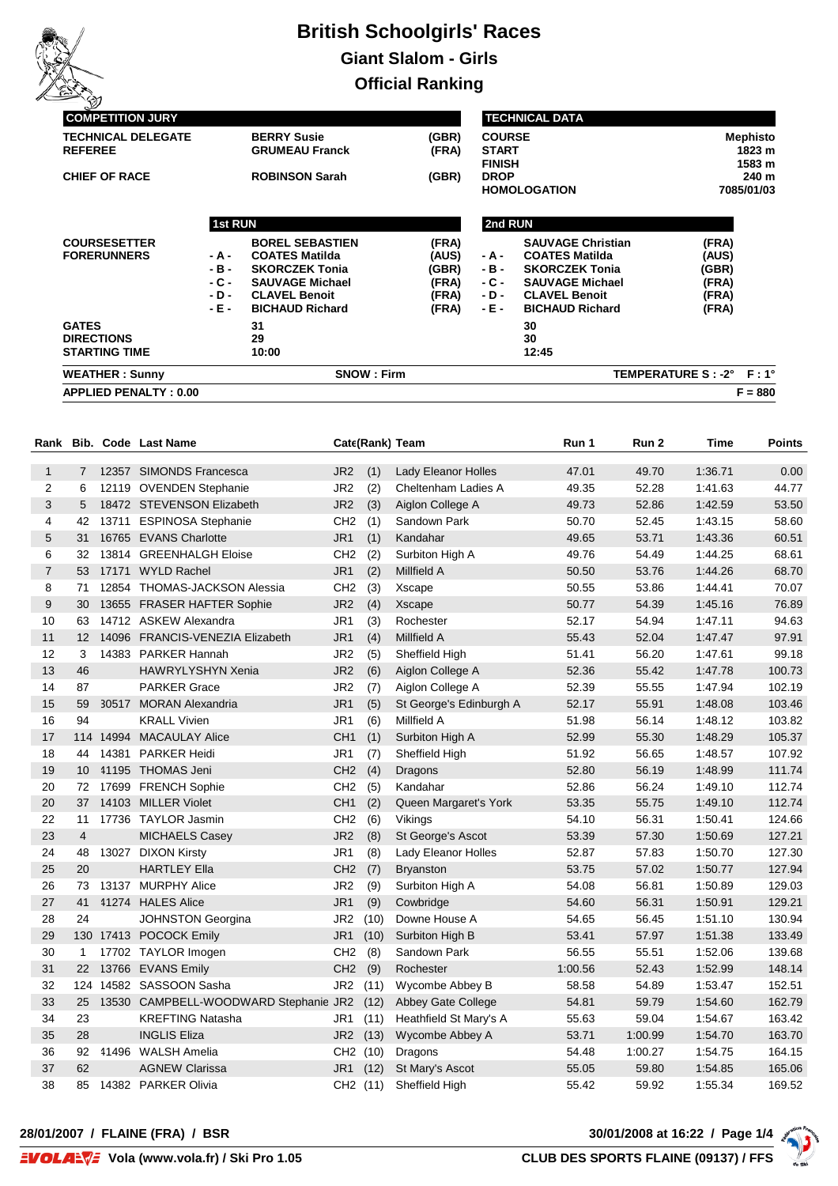

| س<br><b>COMPETITION JURY</b>                |                 |                                                |                |                               | <b>TECHNICAL DATA</b>                          |                               |
|---------------------------------------------|-----------------|------------------------------------------------|----------------|-------------------------------|------------------------------------------------|-------------------------------|
| <b>TECHNICAL DELEGATE</b><br><b>REFEREE</b> |                 | <b>BERRY Susie</b><br><b>GRUMEAU Franck</b>    | (GBR)<br>(FRA) | <b>COURSE</b><br><b>START</b> |                                                | <b>Mephisto</b><br>1823 m     |
| <b>CHIEF OF RACE</b>                        |                 | <b>ROBINSON Sarah</b>                          | (GBR)          | <b>FINISH</b><br><b>DROP</b>  | <b>HOMOLOGATION</b>                            | 1583 m<br>240 m<br>7085/01/03 |
|                                             | <b>1st RUN</b>  |                                                |                | 2nd RUN                       |                                                |                               |
| <b>COURSESETTER</b>                         |                 | <b>BOREL SEBASTIEN</b>                         | (FRA)          |                               | <b>SAUVAGE Christian</b>                       | (FRA)                         |
| <b>FORERUNNERS</b>                          | - A -<br>$-B -$ | <b>COATES Matilda</b><br><b>SKORCZEK Tonia</b> | (AUS)<br>(GBR) | - A -<br>- B -                | <b>COATES Matilda</b><br><b>SKORCZEK Tonia</b> | (AUS)<br>(GBR)                |
|                                             | - C -           | <b>SAUVAGE Michael</b>                         | (FRA)          | - C -                         | <b>SAUVAGE Michael</b>                         | (FRA)                         |
|                                             | - D -           | <b>CLAVEL Benoit</b>                           | (FRA)          | - D -                         | <b>CLAVEL Benoit</b>                           | (FRA)                         |
|                                             | - E -           | <b>BICHAUD Richard</b>                         | (FRA)          | - E -                         | <b>BICHAUD Richard</b>                         | (FRA)                         |
| <b>GATES</b>                                |                 | 31                                             |                |                               | 30                                             |                               |
| <b>DIRECTIONS</b>                           |                 | 29                                             |                |                               | 30                                             |                               |
| <b>STARTING TIME</b>                        |                 | 10:00                                          |                |                               | 12:45                                          |                               |
| <b>WEATHER: Sunny</b>                       |                 | <b>SNOW: Firm</b>                              |                |                               |                                                | TEMPERATURE S: -2° F: 1°      |
| <b>APPLIED PENALTY: 0.00</b>                |                 |                                                |                |                               |                                                | $F = 880$                     |

| Rank           |                   |       | <b>Bib. Code Last Name</b>            |                 |      | Cate(Rank) Team         | Run 1   | Run 2   | Time    | Points |
|----------------|-------------------|-------|---------------------------------------|-----------------|------|-------------------------|---------|---------|---------|--------|
| 1              | 7                 |       | 12357 SIMONDS Francesca               | JR <sub>2</sub> | (1)  | Lady Eleanor Holles     | 47.01   | 49.70   | 1.36.71 | 0.00   |
| 2              | 6                 |       | 12119 OVENDEN Stephanie               | JR <sub>2</sub> | (2)  | Cheltenham Ladies A     | 49.35   | 52.28   | 1:41.63 | 44.77  |
| 3              | 5                 |       | 18472 STEVENSON Elizabeth             | JR <sub>2</sub> | (3)  | Aiglon College A        | 49.73   | 52.86   | 1:42.59 | 53.50  |
| $\overline{4}$ | 42                |       | 13711 ESPINOSA Stephanie              | CH <sub>2</sub> | (1)  | Sandown Park            | 50.70   | 52.45   | 1:43.15 | 58.60  |
| 5              | 31                |       | 16765 EVANS Charlotte                 | JR <sub>1</sub> | (1)  | Kandahar                | 49.65   | 53.71   | 1:43.36 | 60.51  |
| 6              | 32                |       | 13814 GREENHALGH Eloise               | CH <sub>2</sub> | (2)  | Surbiton High A         | 49.76   | 54.49   | 1:44.25 | 68.61  |
| 7              | 53                | 17171 | <b>WYLD Rachel</b>                    | JR <sub>1</sub> | (2)  | Millfield A             | 50.50   | 53.76   | 1:44.26 | 68.70  |
| 8              | 71                |       | 12854 THOMAS-JACKSON Alessia          | CH <sub>2</sub> | (3)  | Xscape                  | 50.55   | 53.86   | 1.44.41 | 70.07  |
| 9              | 30                |       | 13655 FRASER HAFTER Sophie            | JR <sub>2</sub> | (4)  | Xscape                  | 50.77   | 54.39   | 1.45.16 | 76.89  |
| 10             | 63                |       | 14712 ASKEW Alexandra                 | JR1             | (3)  | Rochester               | 52.17   | 54.94   | 1:47.11 | 94.63  |
| 11             | $12 \overline{ }$ |       | 14096 FRANCIS-VENEZIA Elizabeth       | JR <sub>1</sub> | (4)  | Millfield A             | 55.43   | 52.04   | 1:47.47 | 97.91  |
| 12             | 3                 |       | 14383 PARKER Hannah                   | JR <sub>2</sub> | (5)  | Sheffield High          | 51.41   | 56.20   | 1.47.61 | 99.18  |
| 13             | 46                |       | <b>HAWRYLYSHYN Xenia</b>              | JR <sub>2</sub> | (6)  | Aiglon College A        | 52.36   | 55.42   | 1:47.78 | 100.73 |
| 14             | 87                |       | <b>PARKER Grace</b>                   | JR <sub>2</sub> | (7)  | Aiglon College A        | 52.39   | 55.55   | 1:47.94 | 102.19 |
| 15             | 59                |       | 30517 MORAN Alexandria                | JR <sub>1</sub> | (5)  | St George's Edinburgh A | 52.17   | 55.91   | 1:48.08 | 103.46 |
| 16             | 94                |       | <b>KRALL Vivien</b>                   | JR <sub>1</sub> | (6)  | Millfield A             | 51.98   | 56.14   | 1:48.12 | 103.82 |
| 17             |                   |       | 114 14994 MACAULAY Alice              | CH <sub>1</sub> | (1)  | Surbiton High A         | 52.99   | 55.30   | 1:48.29 | 105.37 |
| 18             | 44                | 14381 | <b>PARKER Heidi</b>                   | JR <sub>1</sub> | (7)  | Sheffield High          | 51.92   | 56.65   | 1:48.57 | 107.92 |
| 19             | 10 <sup>°</sup>   |       | 41195 THOMAS Jeni                     | CH <sub>2</sub> | (4)  | Dragons                 | 52.80   | 56.19   | 1.48.99 | 111.74 |
| 20             | 72                |       | 17699 FRENCH Sophie                   | CH <sub>2</sub> | (5)  | Kandahar                | 52.86   | 56.24   | 1:49.10 | 112.74 |
| 20             | 37                |       | 14103 MILLER Violet                   | CH <sub>1</sub> | (2)  | Queen Margaret's York   | 53.35   | 55.75   | 1:49.10 | 112.74 |
| 22             | 11                |       | 17736 TAYLOR Jasmin                   | CH <sub>2</sub> | (6)  | Vikings                 | 54.10   | 56.31   | 1:50.41 | 124.66 |
| 23             | $\overline{4}$    |       | <b>MICHAELS Casey</b>                 | JR <sub>2</sub> | (8)  | St George's Ascot       | 53.39   | 57.30   | 1:50.69 | 127.21 |
| 24             | 48                | 13027 | <b>DIXON Kirsty</b>                   | JR <sub>1</sub> | (8)  | Lady Eleanor Holles     | 52.87   | 57.83   | 1:50.70 | 127.30 |
| 25             | 20                |       | <b>HARTLEY Ella</b>                   | CH <sub>2</sub> | (7)  | <b>Bryanston</b>        | 53.75   | 57.02   | 1:50.77 | 127.94 |
| 26             | 73                |       | 13137 MURPHY Alice                    | JR <sub>2</sub> | (9)  | Surbiton High A         | 54.08   | 56.81   | 1:50.89 | 129.03 |
| 27             | 41                |       | 41274 HALES Alice                     | JR <sub>1</sub> | (9)  | Cowbridge               | 54.60   | 56.31   | 1:50.91 | 129.21 |
| 28             | 24                |       | <b>JOHNSTON Georgina</b>              | JR <sub>2</sub> | (10) | Downe House A           | 54.65   | 56.45   | 1:51.10 | 130.94 |
| 29             |                   |       | 130 17413 POCOCK Emily                | JR1             | (10) | Surbiton High B         | 53.41   | 57.97   | 1:51.38 | 133.49 |
| 30             | $\mathbf{1}$      |       | 17702 TAYLOR Imogen                   | CH <sub>2</sub> | (8)  | Sandown Park            | 56.55   | 55.51   | 1:52.06 | 139.68 |
| 31             | 22                |       | 13766 EVANS Emily                     | CH <sub>2</sub> | (9)  | Rochester               | 1:00.56 | 52.43   | 1:52.99 | 148.14 |
| 32             |                   |       | 124 14582 SASSOON Sasha               | JR <sub>2</sub> | (11) | Wycombe Abbey B         | 58.58   | 54.89   | 1:53.47 | 152.51 |
| 33             | 25                |       | 13530 CAMPBELL-WOODWARD Stephanie JR2 |                 | (12) | Abbey Gate College      | 54.81   | 59.79   | 1:54.60 | 162.79 |
| 34             | 23                |       | <b>KREFTING Natasha</b>               | JR1             | (11) | Heathfield St Mary's A  | 55.63   | 59.04   | 1:54.67 | 163.42 |
| 35             | 28                |       | <b>INGLIS Eliza</b>                   | JR <sub>2</sub> | (13) | Wycombe Abbey A         | 53.71   | 1:00.99 | 1:54.70 | 163.70 |
| 36             | 92                |       | 41496 WALSH Amelia                    | CH2 (10)        |      | Dragons                 | 54.48   | 1:00.27 | 1:54.75 | 164.15 |
| 37             | 62                |       | <b>AGNEW Clarissa</b>                 | JR1             | (12) | St Mary's Ascot         | 55.05   | 59.80   | 1:54.85 | 165.06 |
| 38             |                   |       | 85 14382 PARKER Olivia                |                 |      | CH2 (11) Sheffield High | 55.42   | 59.92   | 1:55.34 | 169.52 |

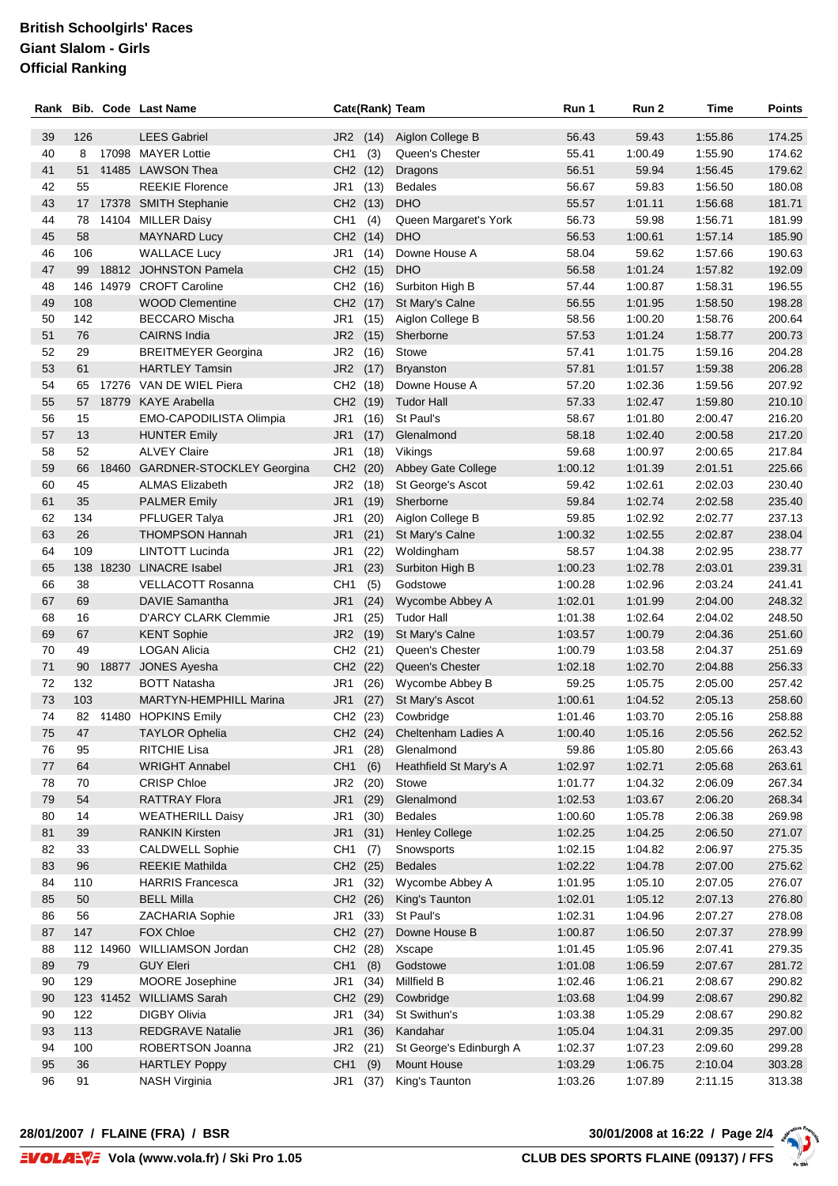| Rank     |            |           | <b>Bib. Code Last Name</b>                     |                      |              | Cate(Rank) Team                        | Run 1              | Run 2              | Time               | Points           |
|----------|------------|-----------|------------------------------------------------|----------------------|--------------|----------------------------------------|--------------------|--------------------|--------------------|------------------|
| 39       | 126        |           | <b>LEES Gabriel</b>                            | JR <sub>2</sub>      | (14)         | Aiglon College B                       | 56.43              | 59.43              | 1:55.86            | 174.25           |
| 40       | 8          |           | 17098 MAYER Lottie                             | CH <sub>1</sub>      | (3)          | Queen's Chester                        | 55.41              | 1:00.49            | 1:55.90            | 174.62           |
| 41       | 51         |           | 41485 LAWSON Thea                              | CH2 (12)             |              | Dragons                                | 56.51              | 59.94              | 1:56.45            | 179.62           |
| 42       | 55         |           | <b>REEKIE Florence</b>                         | JR1                  | (13)         | <b>Bedales</b>                         | 56.67              | 59.83              | 1:56.50            | 180.08           |
| 43       | 17         |           | 17378 SMITH Stephanie                          | CH2 (13)             |              | <b>DHO</b>                             | 55.57              | 1:01.11            | 1:56.68            | 181.71           |
| 44       | 78         |           | 14104 MILLER Daisy                             | CH <sub>1</sub>      | (4)          | Queen Margaret's York                  | 56.73              | 59.98              | 1:56.71            | 181.99           |
| 45       | 58         |           | <b>MAYNARD Lucy</b>                            | CH2 (14)             |              | <b>DHO</b>                             | 56.53              | 1:00.61            | 1:57.14            | 185.90           |
| 46       | 106        |           | <b>WALLACE Lucy</b>                            | JR1                  | (14)         | Downe House A                          | 58.04              | 59.62              | 1:57.66            | 190.63           |
| 47       | 99         |           | 18812 JOHNSTON Pamela                          | CH2 (15)             |              | <b>DHO</b>                             | 56.58              | 1:01.24            | 1:57.82            | 192.09           |
| 48       | 146        |           | 14979 CROFT Caroline                           | CH2 (16)             |              | Surbiton High B                        | 57.44              | 1:00.87            | 1:58.31            | 196.55           |
| 49       | 108        |           | <b>WOOD Clementine</b>                         | CH <sub>2</sub> (17) |              | St Mary's Calne                        | 56.55              | 1:01.95            | 1:58.50            | 198.28           |
| 50       | 142        |           | <b>BECCARO Mischa</b>                          | JR1                  | (15)         | Aiglon College B                       | 58.56              | 1:00.20            | 1:58.76            | 200.64           |
| 51       | 76         |           | <b>CAIRNS India</b>                            | JR <sub>2</sub>      | (15)         | Sherborne                              | 57.53              | 1:01.24            | 1:58.77            | 200.73           |
| 52       | 29         |           | <b>BREITMEYER Georgina</b>                     | JR <sub>2</sub>      | (16)         | Stowe                                  | 57.41              | 1:01.75            | 1:59.16            | 204.28           |
| 53       | 61         |           | <b>HARTLEY Tamsin</b>                          | JR <sub>2</sub>      | (17)         | <b>Bryanston</b>                       | 57.81              | 1:01.57            | 1:59.38            | 206.28           |
| 54       | 65         |           | 17276 VAN DE WIEL Piera                        | CH2 (18)             |              | Downe House A                          | 57.20              | 1:02.36            | 1:59.56            | 207.92           |
| 55       | 57         |           | 18779 KAYE Arabella                            | CH2 (19)             |              | <b>Tudor Hall</b>                      | 57.33              | 1:02.47            | 1:59.80            | 210.10           |
| 56       | 15         |           | EMO-CAPODILISTA Olimpia                        | JR <sub>1</sub>      | (16)         | St Paul's                              | 58.67              | 1:01.80            | 2:00.47            | 216.20           |
| 57       | 13         |           | <b>HUNTER Emily</b>                            | JR <sub>1</sub>      | (17)         | Glenalmond                             | 58.18              | 1:02.40            | 2:00.58            | 217.20           |
| 58       | 52         |           | <b>ALVEY Claire</b>                            | JR <sub>1</sub>      | (18)         | Vikings                                | 59.68              | 1:00.97            | 2:00.65            | 217.84           |
| 59       | 66         | 18460     | <b>GARDNER-STOCKLEY Georgina</b>               | CH <sub>2</sub>      | (20)         | Abbey Gate College                     | 1:00.12            | 1:01.39            | 2:01.51            | 225.66           |
| 60       | 45         |           | <b>ALMAS Elizabeth</b>                         | JR <sub>2</sub>      | (18)         | St George's Ascot                      | 59.42              | 1:02.61            | 2:02.03            | 230.40           |
| 61       | 35         |           | <b>PALMER Emily</b>                            | JR <sub>1</sub>      | (19)         | Sherborne                              | 59.84              | 1:02.74            | 2:02.58            | 235.40           |
| 62       | 134        |           | PFLUGER Talya                                  | JR <sub>1</sub>      | (20)         | Aiglon College B                       | 59.85              | 1:02.92            | 2:02.77            | 237.13           |
| 63       | 26         |           | <b>THOMPSON Hannah</b>                         | JR <sub>1</sub>      | (21)         | St Mary's Calne                        | 1:00.32            | 1:02.55            | 2:02.87            | 238.04           |
| 64       | 109        |           | LINTOTT Lucinda                                | JR1                  | (22)         | Woldingham                             | 58.57              | 1:04.38            | 2:02.95            | 238.77           |
| 65       |            | 138 18230 | <b>LINACRE</b> Isabel                          | JR <sub>1</sub>      | (23)         | Surbiton High B                        | 1:00.23            | 1:02.78            | 2:03.01            | 239.31           |
| 66       | 38         |           | <b>VELLACOTT Rosanna</b>                       | CH <sub>1</sub>      | (5)          | Godstowe                               | 1:00.28            | 1:02.96            | 2:03.24            | 241.41           |
| 67       | 69         |           | DAVIE Samantha                                 | JR <sub>1</sub>      | (24)         | Wycombe Abbey A                        | 1:02.01            | 1:01.99            | 2:04.00            | 248.32           |
| 68       | 16         |           | <b>D'ARCY CLARK Clemmie</b>                    | JR <sub>1</sub>      | (25)         | <b>Tudor Hall</b>                      | 1:01.38            | 1:02.64            | 2:04.02            | 248.50           |
| 69       | 67         |           | <b>KENT Sophie</b>                             | JR <sub>2</sub>      | (19)         | St Mary's Calne                        | 1:03.57            | 1:00.79            | 2:04.36            | 251.60           |
| 70       | 49         |           | <b>LOGAN Alicia</b>                            | CH2 (21)             |              | Queen's Chester                        | 1:00.79            | 1:03.58            | 2:04.37            | 251.69           |
| 71       | 90         |           | 18877 JONES Ayesha                             | CH2 (22)             |              | Queen's Chester                        | 1:02.18            | 1:02.70            | 2:04.88            | 256.33           |
| 72       | 132        |           | <b>BOTT Natasha</b>                            | JR1                  | (26)         | Wycombe Abbey B                        | 59.25              | 1:05.75            | 2:05.00            | 257.42           |
| 73       | 103        |           | <b>MARTYN-HEMPHILL Marina</b>                  | JR1                  | (27)         | St Mary's Ascot                        | 1:00.61            | 1:04.52            | 2:05.13            | 258.60           |
| 74       |            |           | 82 41480 HOPKINS Emily                         | CH2 (23)             |              | Cowbridge                              | 1:01.46            | 1:03.70            | 2:05.16            | 258.88           |
| 75       | 47         |           | <b>TAYLOR Ophelia</b>                          |                      |              | CH2 (24) Cheltenham Ladies A           | 1:00.40            | 1:05.16            | 2:05.56            | 262.52           |
| 76       | 95         |           | RITCHIE Lisa                                   | JR1.                 | (28)         | Glenalmond                             | 59.86              | 1:05.80            | 2:05.66            | 263.43           |
| 77       | 64         |           | <b>WRIGHT Annabel</b>                          | CH <sub>1</sub>      | (6)          | Heathfield St Mary's A                 | 1:02.97            | 1:02.71            | 2:05.68            | 263.61           |
| 78       | 70         |           | <b>CRISP Chloe</b>                             | JR <sub>2</sub>      | (20)         | Stowe                                  | 1:01.77            | 1:04.32            | 2:06.09            | 267.34           |
| 79       | 54         |           | <b>RATTRAY Flora</b>                           | JR <sub>1</sub>      | (29)         | Glenalmond                             | 1:02.53            | 1:03.67            | 2:06.20            | 268.34           |
| 80       | 14         |           | <b>WEATHERILL Daisy</b>                        | JR1                  | (30)         | <b>Bedales</b>                         | 1:00.60            | 1:05.78            | 2:06.38            | 269.98           |
| 81       | 39         |           | <b>RANKIN Kirsten</b>                          | JR <sub>1</sub>      | (31)         | <b>Henley College</b>                  | 1:02.25            | 1:04.25            | 2:06.50            | 271.07           |
| 82       | 33         |           | <b>CALDWELL Sophie</b>                         | CH <sub>1</sub>      | (7)          | Snowsports                             | 1:02.15            | 1:04.82            | 2:06.97            | 275.35           |
| 83       | 96         |           | <b>REEKIE Mathilda</b>                         | CH2 (25)             |              | <b>Bedales</b>                         | 1:02.22            | 1:04.78            | 2:07.00            | 275.62           |
| 84       | 110        |           | <b>HARRIS Francesca</b>                        | JR1                  | (32)         | Wycombe Abbey A                        | 1:01.95            | 1:05.10            | 2:07.05            | 276.07           |
| 85       | 50         |           | <b>BELL Milla</b>                              | CH2 (26)             |              | King's Taunton                         | 1:02.01            | 1:05.12            | 2:07.13            | 276.80           |
| 86       | 56         |           | ZACHARIA Sophie                                | JR1                  | (33)         | St Paul's                              | 1:02.31            | 1:04.96            | 2:07.27            | 278.08           |
| 87       | 147        |           | <b>FOX Chloe</b>                               | CH2 (27)             |              | Downe House B                          | 1:00.87            | 1:06.50            | 2:07.37            | 278.99           |
| 88       |            |           | 112 14960 WILLIAMSON Jordan                    | CH2 (28)             |              | Xscape                                 | 1:01.45            | 1:05.96            | 2:07.41            | 279.35           |
| 89       | 79         |           | <b>GUY Eleri</b>                               | CH <sub>1</sub>      | (8)          | Godstowe                               | 1:01.08            | 1:06.59            | 2:07.67            | 281.72           |
| 90       | 129        |           | MOORE Josephine                                | JR1                  | (34)         | Millfield B                            | 1:02.46            | 1:06.21            | 2:08.67            | 290.82           |
| 90       |            |           | 123 41452 WILLIAMS Sarah                       | CH2 (29)             |              | Cowbridge                              | 1:03.68            | 1:04.99            | 2:08.67            | 290.82           |
| 90<br>93 | 122<br>113 |           | <b>DIGBY Olivia</b><br><b>REDGRAVE Natalie</b> | JR1<br>JR1           | (34)<br>(36) | St Swithun's<br>Kandahar               | 1:03.38<br>1:05.04 | 1:05.29<br>1:04.31 | 2:08.67<br>2:09.35 | 290.82<br>297.00 |
| 94       | 100        |           | ROBERTSON Joanna                               | JR <sub>2</sub>      |              |                                        | 1:02.37            | 1:07.23            |                    | 299.28           |
| 95       | 36         |           | <b>HARTLEY Poppy</b>                           | CH <sub>1</sub>      | (21)<br>(9)  | St George's Edinburgh A<br>Mount House | 1:03.29            | 1:06.75            | 2:09.60<br>2:10.04 | 303.28           |
| 96       | 91         |           | <b>NASH Virginia</b>                           | JR1                  | (37)         | King's Taunton                         | 1:03.26            | 1:07.89            | 2:11.15            | 313.38           |
|          |            |           |                                                |                      |              |                                        |                    |                    |                    |                  |

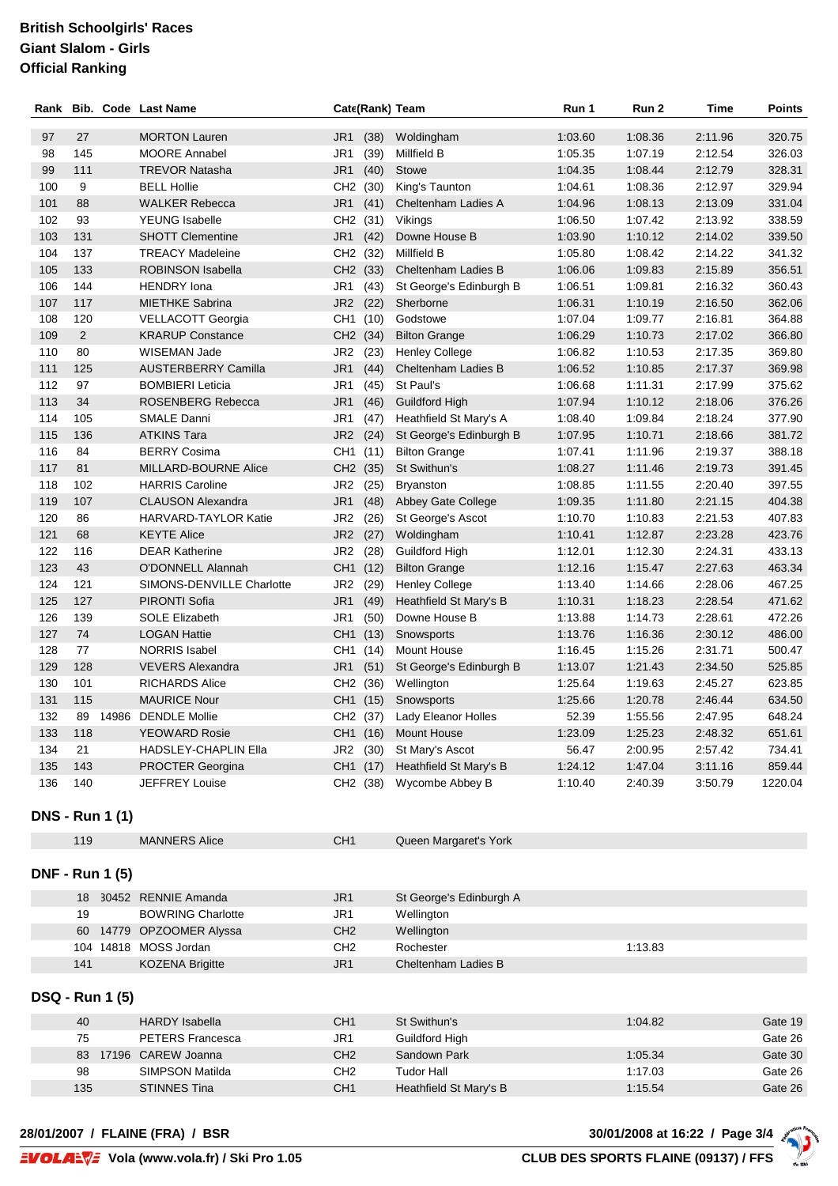| Rank |                        | <b>Bib. Code Last Name</b> | Cate(Rank) Team         |                                 | Run 1   | Run 2   | Time    | <b>Points</b> |
|------|------------------------|----------------------------|-------------------------|---------------------------------|---------|---------|---------|---------------|
| 97   | 27                     | <b>MORTON Lauren</b>       | JR <sub>1</sub><br>(38) | Woldingham                      | 1:03.60 | 1:08.36 | 2:11.96 | 320.75        |
| 98   | 145                    | <b>MOORE Annabel</b>       | JR1<br>(39)             | Millfield B                     | 1:05.35 | 1:07.19 | 2:12.54 | 326.03        |
| 99   | 111                    | <b>TREVOR Natasha</b>      | JR <sub>1</sub><br>(40) | Stowe                           | 1:04.35 | 1:08.44 | 2:12.79 | 328.31        |
| 100  | 9                      | <b>BELL Hollie</b>         | CH <sub>2</sub><br>(30) | King's Taunton                  | 1:04.61 | 1:08.36 | 2:12.97 | 329.94        |
| 101  | 88                     | <b>WALKER Rebecca</b>      | JR <sub>1</sub><br>(41) | Cheltenham Ladies A             | 1:04.96 | 1:08.13 | 2:13.09 | 331.04        |
| 102  | 93                     | <b>YEUNG</b> Isabelle      | CH <sub>2</sub><br>(31) | Vikings                         | 1:06.50 | 1:07.42 | 2:13.92 | 338.59        |
| 103  | 131                    | <b>SHOTT Clementine</b>    | JR <sub>1</sub><br>(42) | Downe House B                   | 1:03.90 | 1:10.12 | 2:14.02 | 339.50        |
| 104  | 137                    | <b>TREACY Madeleine</b>    | CH <sub>2</sub><br>(32) | Millfield B                     | 1:05.80 | 1:08.42 | 2:14.22 | 341.32        |
| 105  | 133                    | ROBINSON Isabella          | CH2 (33)                | Cheltenham Ladies B             | 1:06.06 | 1:09.83 | 2:15.89 | 356.51        |
| 106  | 144                    | <b>HENDRY</b> Iona         | JR <sub>1</sub><br>(43) | St George's Edinburgh B         | 1:06.51 | 1:09.81 | 2:16.32 | 360.43        |
| 107  | 117                    | <b>MIETHKE Sabrina</b>     | JR <sub>2</sub><br>(22) | Sherborne                       | 1:06.31 | 1:10.19 | 2:16.50 | 362.06        |
| 108  | 120                    | VELLACOTT Georgia          | CH1 (10)                | Godstowe                        | 1:07.04 | 1:09.77 | 2:16.81 | 364.88        |
| 109  | $\overline{2}$         | <b>KRARUP Constance</b>    | CH2 (34)                | <b>Bilton Grange</b>            | 1:06.29 | 1:10.73 | 2:17.02 | 366.80        |
| 110  | 80                     | WISEMAN Jade               | JR <sub>2</sub><br>(23) | <b>Henley College</b>           | 1:06.82 | 1:10.53 | 2:17.35 | 369.80        |
| 111  | 125                    | <b>AUSTERBERRY Camilla</b> | JR <sub>1</sub><br>(44) | Cheltenham Ladies B             | 1:06.52 | 1:10.85 | 2:17.37 | 369.98        |
| 112  | 97                     | <b>BOMBIERI Leticia</b>    | JR <sub>1</sub><br>(45) | St Paul's                       | 1:06.68 | 1:11.31 | 2:17.99 | 375.62        |
| 113  | 34                     | ROSENBERG Rebecca          | JR1<br>(46)             | <b>Guildford High</b>           | 1:07.94 | 1:10.12 | 2:18.06 | 376.26        |
| 114  | 105                    | <b>SMALE Danni</b>         | JR1<br>(47)             | Heathfield St Mary's A          | 1:08.40 | 1:09.84 | 2:18.24 | 377.90        |
| 115  | 136                    | <b>ATKINS Tara</b>         | JR <sub>2</sub><br>(24) | St George's Edinburgh B         | 1:07.95 | 1:10.71 | 2:18.66 | 381.72        |
| 116  | 84                     | <b>BERRY Cosima</b>        | CH <sub>1</sub><br>(11) | <b>Bilton Grange</b>            | 1:07.41 | 1:11.96 | 2:19.37 | 388.18        |
| 117  | 81                     | MILLARD-BOURNE Alice       | CH <sub>2</sub><br>(35) | St Swithun's                    | 1:08.27 | 1:11.46 | 2:19.73 | 391.45        |
| 118  | 102                    | <b>HARRIS Caroline</b>     | JR <sub>2</sub><br>(25) | <b>Bryanston</b>                | 1:08.85 | 1:11.55 | 2:20.40 | 397.55        |
| 119  | 107                    | <b>CLAUSON Alexandra</b>   | JR1<br>(48)             | Abbey Gate College              | 1:09.35 | 1:11.80 | 2:21.15 | 404.38        |
| 120  | 86                     | HARVARD-TAYLOR Katie       | JR <sub>2</sub><br>(26) | St George's Ascot               | 1:10.70 | 1:10.83 | 2:21.53 | 407.83        |
| 121  | 68                     | <b>KEYTE Alice</b>         | JR <sub>2</sub><br>(27) | Woldingham                      | 1:10.41 | 1:12.87 | 2:23.28 | 423.76        |
| 122  | 116                    | <b>DEAR Katherine</b>      | JR <sub>2</sub><br>(28) | Guildford High                  | 1:12.01 | 1:12.30 | 2:24.31 | 433.13        |
| 123  | 43                     | O'DONNELL Alannah          | CH <sub>1</sub><br>(12) | <b>Bilton Grange</b>            | 1:12.16 | 1:15.47 | 2:27.63 | 463.34        |
| 124  | 121                    | SIMONS-DENVILLE Charlotte  | JR <sub>2</sub><br>(29) | <b>Henley College</b>           | 1:13.40 | 1:14.66 | 2:28.06 | 467.25        |
| 125  | 127                    | PIRONTI Sofia              | JR <sub>1</sub><br>(49) | Heathfield St Mary's B          | 1:10.31 | 1:18.23 | 2:28.54 | 471.62        |
| 126  | 139                    | <b>SOLE Elizabeth</b>      | JR1<br>(50)             | Downe House B                   | 1:13.88 | 1:14.73 | 2:28.61 | 472.26        |
| 127  | 74                     | <b>LOGAN Hattie</b>        | CH <sub>1</sub><br>(13) | Snowsports                      | 1:13.76 | 1:16.36 | 2:30.12 | 486.00        |
| 128  | 77                     | <b>NORRIS Isabel</b>       | CH <sub>1</sub><br>(14) | <b>Mount House</b>              | 1:16.45 | 1:15.26 | 2:31.71 | 500.47        |
| 129  | 128                    | <b>VEVERS Alexandra</b>    | JR1<br>(51)             | St George's Edinburgh B         | 1:13.07 | 1:21.43 | 2:34.50 | 525.85        |
| 130  | 101                    | <b>RICHARDS Alice</b>      | CH <sub>2</sub><br>(36) | Wellington                      | 1:25.64 | 1:19.63 | 2:45.27 | 623.85        |
| 131  | 115                    | <b>MAURICE Nour</b>        | CH <sub>1</sub><br>(15) | Snowsports                      | 1:25.66 | 1:20.78 | 2:46.44 | 634.50        |
| 132  |                        | 89 14986 DENDLE Mollie     |                         | CH2 (37) Lady Eleanor Holles    | 52.39   | 1:55.56 | 2:47.95 | 648.24        |
| 133  | 118                    | YEOWARD Rosie              |                         | CH1 (16) Mount House            | 1:23.09 | 1:25.23 | 2:48.32 | 651.61        |
| 134  | 21                     | HADSLEY-CHAPLIN Ella       |                         | JR2 (30) St Mary's Ascot        | 56.47   | 2:00.95 | 2:57.42 | 734.41        |
| 135  | 143                    | <b>PROCTER Georgina</b>    |                         | CH1 (17) Heathfield St Mary's B | 1:24.12 | 1:47.04 | 3:11.16 | 859.44        |
| 136  | 140                    | <b>JEFFREY Louise</b>      |                         | CH2 (38) Wycombe Abbey B        | 1:10.40 | 2:40.39 | 3:50.79 | 1220.04       |
|      |                        |                            |                         |                                 |         |         |         |               |
|      | <b>DNS - Run 1 (1)</b> |                            |                         |                                 |         |         |         |               |
|      | 119                    | <b>MANNERS Alice</b>       | CH <sub>1</sub>         | Queen Margaret's York           |         |         |         |               |
|      | <b>DNF - Run 1 (5)</b> |                            |                         |                                 |         |         |         |               |
|      |                        |                            |                         |                                 |         |         |         |               |

| 18  | 30452 RENNIE Amanda      | JR1             | St George's Edinburgh A |         |
|-----|--------------------------|-----------------|-------------------------|---------|
| 19  | <b>BOWRING Charlotte</b> | JR1             | Wellington              |         |
|     | 60 14779 OPZOOMER Alyssa | CH <sub>2</sub> | Wellington              |         |
|     | 104 14818 MOSS Jordan    | CH <sub>2</sub> | Rochester               | 1:13.83 |
| 141 | <b>KOZENA Brigitte</b>   | JR1             | Cheltenham Ladies B     |         |

#### **DSQ - Run 1 (5)**

| 40  | <b>HARDY</b> Isabella   | CH <sub>1</sub> | St Swithun's           | 1:04.82 | Gate 19 |
|-----|-------------------------|-----------------|------------------------|---------|---------|
| 75  | <b>PETERS Francesca</b> | JR1             | Guildford High         |         | Gate 26 |
| 83  | 17196 CAREW Joanna      | CH <sub>2</sub> | Sandown Park           | 1:05.34 | Gate 30 |
| 98  | SIMPSON Matilda         | CH <sub>2</sub> | Tudor Hall             | 1:17.03 | Gate 26 |
| 135 | <b>STINNES Tina</b>     | CH <sub>1</sub> | Heathfield St Mary's B | 1:15.54 | Gate 26 |